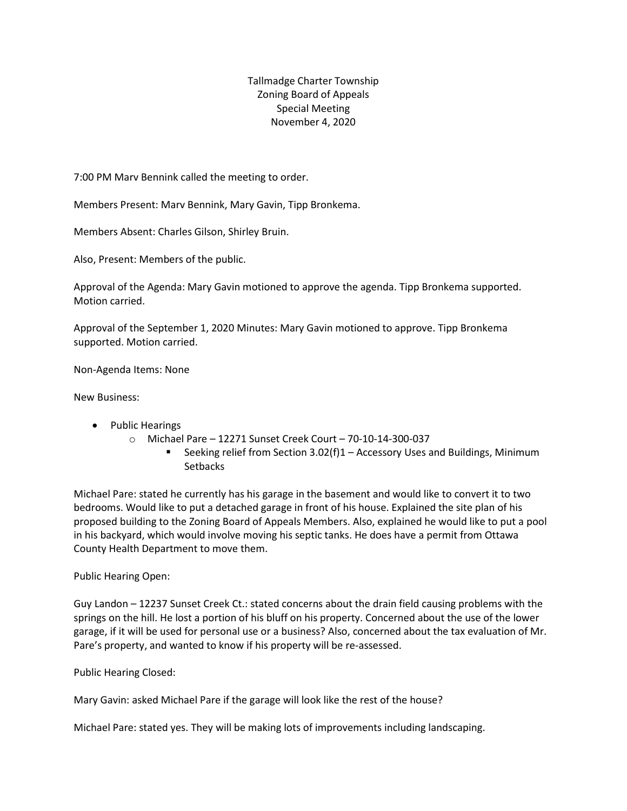Tallmadge Charter Township Zoning Board of Appeals Special Meeting November 4, 2020

7:00 PM Marv Bennink called the meeting to order.

Members Present: Marv Bennink, Mary Gavin, Tipp Bronkema.

Members Absent: Charles Gilson, Shirley Bruin.

Also, Present: Members of the public.

Approval of the Agenda: Mary Gavin motioned to approve the agenda. Tipp Bronkema supported. Motion carried.

Approval of the September 1, 2020 Minutes: Mary Gavin motioned to approve. Tipp Bronkema supported. Motion carried.

Non-Agenda Items: None

New Business:

- Public Hearings
	- o Michael Pare 12271 Sunset Creek Court 70-10-14-300-037
		- Seeking relief from Section 3.02(f)1 Accessory Uses and Buildings, Minimum **Setbacks**

Michael Pare: stated he currently has his garage in the basement and would like to convert it to two bedrooms. Would like to put a detached garage in front of his house. Explained the site plan of his proposed building to the Zoning Board of Appeals Members. Also, explained he would like to put a pool in his backyard, which would involve moving his septic tanks. He does have a permit from Ottawa County Health Department to move them.

Public Hearing Open:

Guy Landon – 12237 Sunset Creek Ct.: stated concerns about the drain field causing problems with the springs on the hill. He lost a portion of his bluff on his property. Concerned about the use of the lower garage, if it will be used for personal use or a business? Also, concerned about the tax evaluation of Mr. Pare's property, and wanted to know if his property will be re-assessed.

Public Hearing Closed:

Mary Gavin: asked Michael Pare if the garage will look like the rest of the house?

Michael Pare: stated yes. They will be making lots of improvements including landscaping.